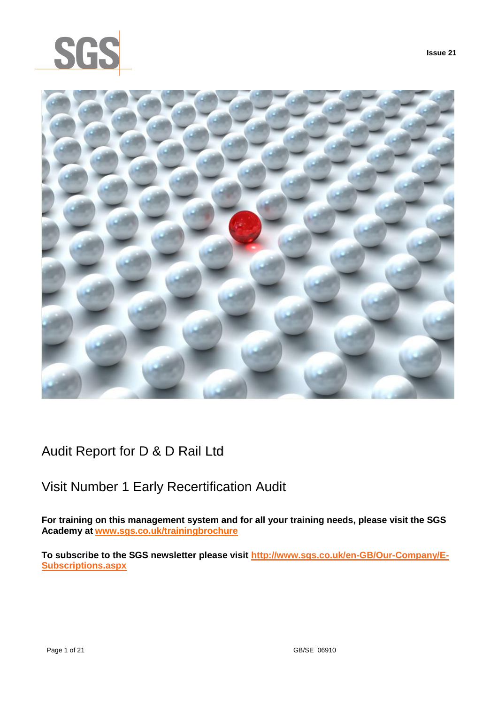



Audit Report for D & D Rail Ltd

# Visit Number 1 Early Recertification Audit

**For training on this management system and for all your training needs, please visit the SGS Academy at [www.sgs.co.uk/trainingbrochure](http://www.sgs.co.uk/trainingbrochure)**

**To subscribe to the SGS newsletter please visit [http://www.sgs.co.uk/en-GB/Our-Company/E-](http://www.sgs.co.uk/en-GB/Our-Company/E-Subscriptions.aspx)[Subscriptions.aspx](http://www.sgs.co.uk/en-GB/Our-Company/E-Subscriptions.aspx)**

**Issue 21**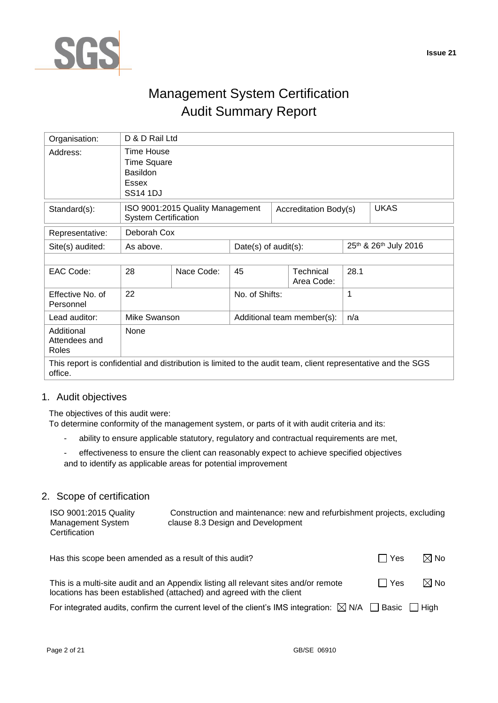

# Management System Certification Audit Summary Report

| Organisation:                                                                                                           | D & D Rail Ltd                                                                         |                                  |                         |  |                                |      |                       |
|-------------------------------------------------------------------------------------------------------------------------|----------------------------------------------------------------------------------------|----------------------------------|-------------------------|--|--------------------------------|------|-----------------------|
| Address:                                                                                                                | <b>Time House</b><br><b>Time Square</b><br><b>Basildon</b><br>Essex<br><b>SS14 1DJ</b> |                                  |                         |  |                                |      |                       |
| Standard(s):                                                                                                            | <b>System Certification</b>                                                            | ISO 9001:2015 Quality Management |                         |  | Accreditation Body(s)          |      | <b>UKAS</b>           |
| Representative:                                                                                                         | Deborah Cox                                                                            |                                  |                         |  |                                |      |                       |
| Site(s) audited:                                                                                                        | As above.                                                                              |                                  | Date(s) of $audit(s)$ : |  |                                |      | 25th & 26th July 2016 |
|                                                                                                                         |                                                                                        |                                  |                         |  |                                |      |                       |
| EAC Code:                                                                                                               | 28                                                                                     | Nace Code:                       | 45                      |  | <b>Technical</b><br>Area Code: | 28.1 |                       |
| Effective No. of<br>Personnel                                                                                           | 22                                                                                     | 1<br>No. of Shifts:              |                         |  |                                |      |                       |
| Lead auditor:                                                                                                           | Mike Swanson<br>Additional team member(s):<br>n/a                                      |                                  |                         |  |                                |      |                       |
| Additional<br>Attendees and<br>Roles                                                                                    | None                                                                                   |                                  |                         |  |                                |      |                       |
| This report is confidential and distribution is limited to the audit team, client representative and the SGS<br>office. |                                                                                        |                                  |                         |  |                                |      |                       |

## 1. Audit objectives

The objectives of this audit were:

To determine conformity of the management system, or parts of it with audit criteria and its:

- ability to ensure applicable statutory, regulatory and contractual requirements are met,
- effectiveness to ensure the client can reasonably expect to achieve specified objectives and to identify as applicable areas for potential improvement

## 2. Scope of certification

| ISO 9001:2015 Quality              | Construction and maintenance: new and refurbishment projects, excluding |
|------------------------------------|-------------------------------------------------------------------------|
| Management System<br>Certification | clause 8.3 Design and Development                                       |

Has this scope been amended as a result of this audit?  $\Box$  Yes  $\Box$  Yes  $\Box$  No This is a multi-site audit and an Appendix listing all relevant sites and/or remote locations has been established (attached) and agreed with the client  $\Box$  Yes  $\boxtimes$  No

For integrated audits, confirm the current level of the client's IMS integration:  $\boxtimes$  N/A  $\Box$  Basic  $\Box$  High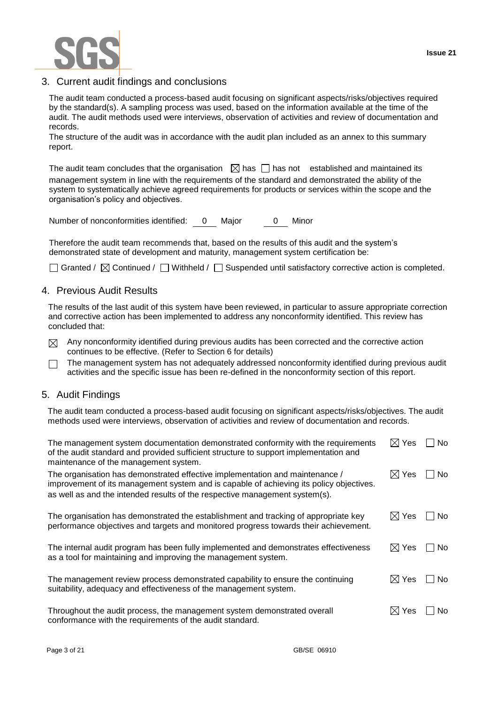

## 3. Current audit findings and conclusions

The audit team conducted a process-based audit focusing on significant aspects/risks/objectives required by the standard(s). A sampling process was used, based on the information available at the time of the audit. The audit methods used were interviews, observation of activities and review of documentation and records.

The structure of the audit was in accordance with the audit plan included as an annex to this summary report.

The audit team concludes that the organisation  $\boxtimes$  has  $\Box$  has not established and maintained its management system in line with the requirements of the standard and demonstrated the ability of the system to systematically achieve agreed requirements for products or services within the scope and the organisation's policy and objectives.

Number of nonconformities identified: 0 Major 0 Minor

Therefore the audit team recommends that, based on the results of this audit and the system's demonstrated state of development and maturity, management system certification be:

 $\Box$  Granted /  $\boxtimes$  Continued /  $\Box$  Withheld /  $\Box$  Suspended until satisfactory corrective action is completed.

### 4. Previous Audit Results

The results of the last audit of this system have been reviewed, in particular to assure appropriate correction and corrective action has been implemented to address any nonconformity identified. This review has concluded that:

Any nonconformity identified during previous audits has been corrected and the corrective action  $\boxtimes$ continues to be effective. (Refer to Section 6 for details)

The management system has not adequately addressed nonconformity identified during previous audit П activities and the specific issue has been re-defined in the nonconformity section of this report.

### 5. Audit Findings

The audit team conducted a process-based audit focusing on significant aspects/risks/objectives. The audit methods used were interviews, observation of activities and review of documentation and records.

| The management system documentation demonstrated conformity with the requirements<br>of the audit standard and provided sufficient structure to support implementation and<br>maintenance of the management system.                                    | $\boxtimes$ Yes | No        |
|--------------------------------------------------------------------------------------------------------------------------------------------------------------------------------------------------------------------------------------------------------|-----------------|-----------|
| The organisation has demonstrated effective implementation and maintenance /<br>improvement of its management system and is capable of achieving its policy objectives.<br>as well as and the intended results of the respective management system(s). | $\boxtimes$ Yes | <b>No</b> |
| The organisation has demonstrated the establishment and tracking of appropriate key<br>performance objectives and targets and monitored progress towards their achievement.                                                                            | $\boxtimes$ Yes | $\Box$ No |
| The internal audit program has been fully implemented and demonstrates effectiveness<br>as a tool for maintaining and improving the management system.                                                                                                 | $\boxtimes$ Yes | <b>No</b> |
| The management review process demonstrated capability to ensure the continuing<br>suitability, adequacy and effectiveness of the management system.                                                                                                    | $\boxtimes$ Yes | No        |
| Throughout the audit process, the management system demonstrated overall<br>conformance with the requirements of the audit standard.                                                                                                                   | $\boxtimes$ Yes | No.       |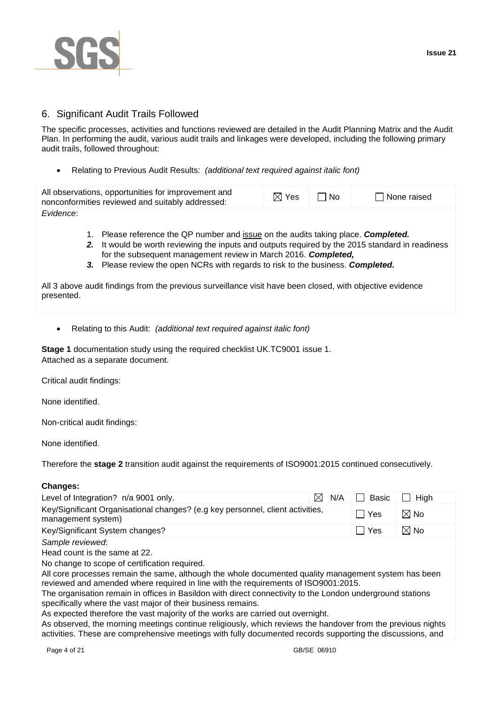

## 6. Significant Audit Trails Followed

The specific processes, activities and functions reviewed are detailed in the Audit Planning Matrix and the Audit Plan. In performing the audit, various audit trails and linkages were developed, including the following primary audit trails, followed throughout:

Relating to Previous Audit Results: *(additional text required against italic font)*

| All observations, opportunities for improvement and<br>nonconformities reviewed and suitably addressed: | $\boxtimes$ Yes | l No | $\Box$ None raised |
|---------------------------------------------------------------------------------------------------------|-----------------|------|--------------------|
| Evidence:                                                                                               |                 |      |                    |

- 1. Please reference the QP number and issue on the audits taking place. *Completed.*
- *2.* It would be worth reviewing the inputs and outputs required by the 2015 standard in readiness for the subsequent management review in March 2016. *Completed,*
- *3.* Please review the open NCRs with regards to risk to the business. *Completed.*

All 3 above audit findings from the previous surveillance visit have been closed, with objective evidence presented.

Relating to this Audit: *(additional text required against italic font)*

**Stage 1** documentation study using the required checklist UK.TC9001 issue 1. Attached as a separate document.

Critical audit findings:

None identified.

Non-critical audit findings:

None identified.

Therefore the **stage 2** transition audit against the requirements of ISO9001:2015 continued consecutively.

### **Changes:**

| Level of Integration? n/a 9001 only.                                                                        | N/A |  | <b>Basic</b> | High           |
|-------------------------------------------------------------------------------------------------------------|-----|--|--------------|----------------|
| Key/Significant Organisational changes? (e.g key personnel, client activities,<br>management system)        |     |  | Yes          | $\boxtimes$ No |
| Key/Significant System changes?                                                                             |     |  | Yes          | $\boxtimes$ No |
| Sample reviewed:                                                                                            |     |  |              |                |
| Head count is the same at 22.                                                                               |     |  |              |                |
| No change to scope of certification required.                                                               |     |  |              |                |
| All core processes remain the same, although the whole documented quality management system has been        |     |  |              |                |
| reviewed and amended where required in line with the requirements of ISO9001:2015.                          |     |  |              |                |
| The organisation remain in offices in Basildon with direct connectivity to the London underground stations  |     |  |              |                |
| specifically where the vast major of their business remains.                                                |     |  |              |                |
| As expected therefore the vast majority of the works are carried out overnight.                             |     |  |              |                |
| As observed, the morning meetings continue religiously, which reviews the handover from the previous nights |     |  |              |                |
| activities. These are comprehensive meetings with fully documented records supporting the discussions, and  |     |  |              |                |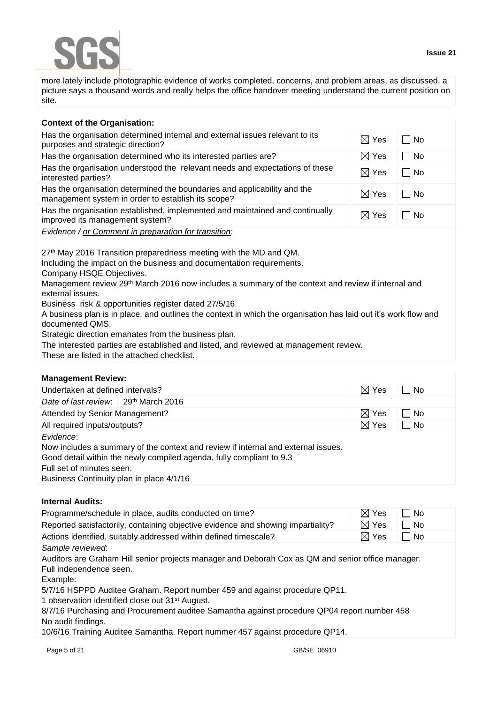more lately include photographic evidence of works completed, concerns, and problem areas, as discussed, a picture says a thousand words and really helps the office handover meeting understand the current position on site.

| <b>Context of the Organisation:</b>                                                                                                                                                                                                                                                                         |                 |           |
|-------------------------------------------------------------------------------------------------------------------------------------------------------------------------------------------------------------------------------------------------------------------------------------------------------------|-----------------|-----------|
| Has the organisation determined internal and external issues relevant to its<br>purposes and strategic direction?                                                                                                                                                                                           | $\boxtimes$ Yes | $\Box$ No |
| Has the organisation determined who its interested parties are?                                                                                                                                                                                                                                             | $\boxtimes$ Yes | $\Box$ No |
| Has the organisation understood the relevant needs and expectations of these<br>interested parties?                                                                                                                                                                                                         | $\boxtimes$ Yes | $\Box$ No |
| Has the organisation determined the boundaries and applicability and the<br>management system in order to establish its scope?                                                                                                                                                                              | $\boxtimes$ Yes | $\Box$ No |
| Has the organisation established, implemented and maintained and continually<br>improved its management system?                                                                                                                                                                                             | $\boxtimes$ Yes | ∣ No      |
| Evidence / or Comment in preparation for transition:                                                                                                                                                                                                                                                        |                 |           |
| 27th May 2016 Transition preparedness meeting with the MD and QM.<br>Including the impact on the business and documentation requirements.<br>Company HSQE Objectives.<br>Management review 29 <sup>th</sup> March 2016 now includes a summary of the context and review if internal and<br>external issues. |                 |           |
|                                                                                                                                                                                                                                                                                                             |                 |           |

Business risk & opportunities register dated 27/5/16

A business plan is in place, and outlines the context in which the organisation has laid out it's work flow and documented QMS.

Strategic direction emanates from the business plan.

The interested parties are established and listed, and reviewed at management review.

These are listed in the attached checklist.

### **Management Review:**

| Undertaken at defined intervals?                                                                                                                                                                                                                | $\boxtimes$ Yes | □ No      |  |
|-------------------------------------------------------------------------------------------------------------------------------------------------------------------------------------------------------------------------------------------------|-----------------|-----------|--|
| Date of last review: $\frac{1}{2}$ 29 <sup>th</sup> March 2016                                                                                                                                                                                  |                 |           |  |
| Attended by Senior Management?                                                                                                                                                                                                                  | $\boxtimes$ Yes | No        |  |
| All required inputs/outputs?                                                                                                                                                                                                                    | $\boxtimes$ Yes | $\Box$ No |  |
| Evidence:<br>Now includes a summary of the context and review if internal and external issues.<br>Good detail within the newly compiled agenda, fully compliant to 9.3<br>Full set of minutes seen.<br>Business Continuity plan in place 4/1/16 |                 |           |  |

### **Internal Audits:**

| Programme/schedule in place, audits conducted on time?                                                                                                                                                                                                                                                                                                                                                                                                                                                         | $\boxtimes$ Yes | No.         |  |
|----------------------------------------------------------------------------------------------------------------------------------------------------------------------------------------------------------------------------------------------------------------------------------------------------------------------------------------------------------------------------------------------------------------------------------------------------------------------------------------------------------------|-----------------|-------------|--|
| Reported satisfactorily, containing objective evidence and showing impartiality?                                                                                                                                                                                                                                                                                                                                                                                                                               | $\boxtimes$ Yes | No          |  |
| Actions identified, suitably addressed within defined timescale?                                                                                                                                                                                                                                                                                                                                                                                                                                               | $\boxtimes$ Yes | $\sqcap$ No |  |
| Sample reviewed:<br>Auditors are Graham Hill senior projects manager and Deborah Cox as QM and senior office manager.<br>Full independence seen.<br>Example:<br>5/7/16 HSPPD Auditee Graham. Report number 459 and against procedure QP11.<br>1 observation identified close out 31 <sup>st</sup> August.<br>8/7/16 Purchasing and Procurement auditee Samantha against procedure QP04 report number 458<br>No audit findings.<br>10/6/16 Training Auditee Samantha. Report nummer 457 against procedure QP14. |                 |             |  |
| Page 5 of 21<br>GB/SE 06910                                                                                                                                                                                                                                                                                                                                                                                                                                                                                    |                 |             |  |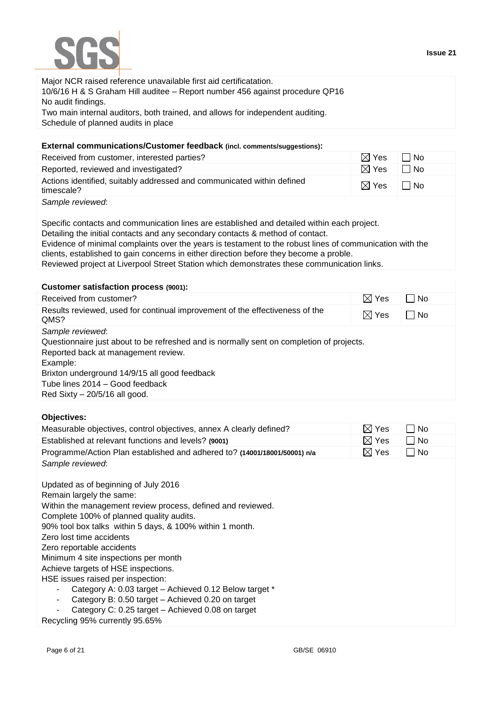

| Major NCR raised reference unavailable first aid certificatation.              |
|--------------------------------------------------------------------------------|
| 10/6/16 H & S Graham Hill auditee - Report number 456 against procedure QP16   |
| No audit findings.                                                             |
| Two main internal auditors, both trained, and allows for independent auditing. |
| Schedule of planned audits in place                                            |

## **External communications/Customer feedback (incl. comments/suggestions):**

| Received from customer, interested parties?                                          | i⊠ Yes          | . I No |
|--------------------------------------------------------------------------------------|-----------------|--------|
| Reported, reviewed and investigated?                                                 | $\boxtimes$ Yes | l INo  |
| Actions identified, suitably addressed and communicated within defined<br>timescale? | $\boxtimes$ Yes | l I No |
| Sample reviewed:                                                                     |                 |        |

Specific contacts and communication lines are established and detailed within each project.

Detailing the initial contacts and any secondary contacts & method of contact.

Evidence of minimal complaints over the years is testament to the robust lines of communication with the clients, established to gain concerns in either direction before they become a proble.

Reviewed project at Liverpool Street Station which demonstrates these communication links.

## **Customer satisfaction process (9001):**

| Received from customer?                                                                  | $\boxtimes$ Yes | ∏ No |
|------------------------------------------------------------------------------------------|-----------------|------|
| Results reviewed, used for continual improvement of the effectiveness of the<br>QMS?     | $\boxtimes$ Yes | No   |
| Sample reviewed:                                                                         |                 |      |
| Questionnaire just about to be refreshed and is normally sent on completion of projects. |                 |      |
| Reported back at management review.                                                      |                 |      |
| Example:                                                                                 |                 |      |
| Brixton underground 14/9/15 all good feedback                                            |                 |      |
| Tube lines 2014 - Good feedback                                                          |                 |      |
| Red Sixty $-$ 20/5/16 all good.                                                          |                 |      |

## **Objectives:**

| Measurable objectives, control objectives, annex A clearly defined?       | $\bowtie$<br>Yes | No        |
|---------------------------------------------------------------------------|------------------|-----------|
| Established at relevant functions and levels? (9001)                      | $\boxtimes$ Yes  | No        |
| Programme/Action Plan established and adhered to? (14001/18001/50001) n/a | $\boxtimes$ Yes  | $\Box$ No |
| Sample reviewed:                                                          |                  |           |
|                                                                           |                  |           |
| Updated as of beginning of July 2016                                      |                  |           |
| Remain largely the same:                                                  |                  |           |
| Within the management review process, defined and reviewed.               |                  |           |
| Complete 100% of planned quality audits.                                  |                  |           |
| 90% tool box talks within 5 days, & 100% within 1 month.                  |                  |           |
| Zero lost time accidents                                                  |                  |           |
| Zero reportable accidents                                                 |                  |           |
| Minimum 4 site inspections per month                                      |                  |           |
| Achieve targets of HSE inspections.                                       |                  |           |
| HSE issues raised per inspection:                                         |                  |           |
| Category A: 0.03 target - Achieved 0.12 Below target *                    |                  |           |
| Category B: 0.50 target - Achieved 0.20 on target                         |                  |           |
| Category C: 0.25 target – Achieved 0.08 on target<br>۰                    |                  |           |
| Recycling 95% currently 95.65%                                            |                  |           |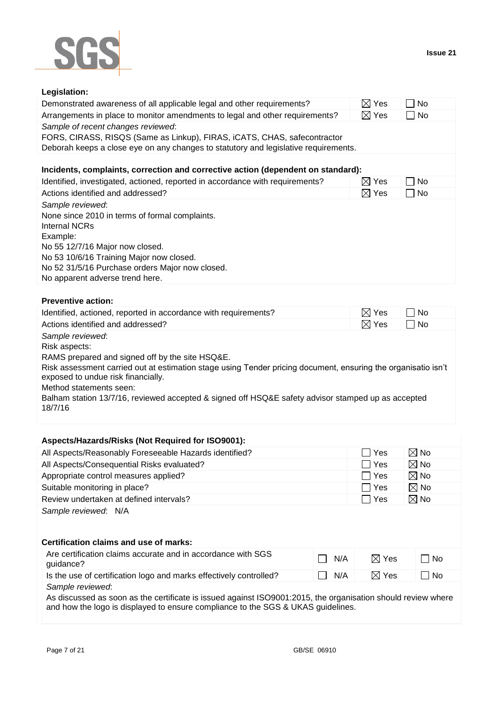

## **Legislation:**

| Demonstrated awareness of all applicable legal and other requirements?                                                                                                                                                                                               | $\boxtimes$ Yes | No<br>$\mathbf{I}$ |
|----------------------------------------------------------------------------------------------------------------------------------------------------------------------------------------------------------------------------------------------------------------------|-----------------|--------------------|
| Arrangements in place to monitor amendments to legal and other requirements?                                                                                                                                                                                         | $\boxtimes$ Yes | $\Box$ No          |
| Sample of recent changes reviewed:<br>FORS, CIRASS, RISQS (Same as Linkup), FIRAS, iCATS, CHAS, safecontractor<br>Deborah keeps a close eye on any changes to statutory and legislative requirements.                                                                |                 |                    |
| Incidents, complaints, correction and corrective action (dependent on standard):                                                                                                                                                                                     |                 |                    |
| Identified, investigated, actioned, reported in accordance with requirements?                                                                                                                                                                                        | $\boxtimes$ Yes | l INo              |
| Actions identified and addressed?                                                                                                                                                                                                                                    | $\boxtimes$ Yes | No                 |
| Sample reviewed:<br>None since 2010 in terms of formal complaints.<br>Internal NCRs<br>Example:<br>No 55 12/7/16 Major now closed.<br>No 53 10/6/16 Training Major now closed.<br>No 52 31/5/16 Purchase orders Major now closed.<br>No apparent adverse trend here. |                 |                    |

## **Preventive action:**

| Identified, actioned, reported in accordance with requirements?                                                                                     | $\boxtimes$ Yes | ∣No  |
|-----------------------------------------------------------------------------------------------------------------------------------------------------|-----------------|------|
| Actions identified and addressed?                                                                                                                   | $\boxtimes$ Yes | ∣ No |
| Sample reviewed:                                                                                                                                    |                 |      |
| Risk aspects:                                                                                                                                       |                 |      |
| RAMS prepared and signed off by the site HSQ&E.                                                                                                     |                 |      |
| Risk assessment carried out at estimation stage using Tender pricing document, ensuring the organisatio isn't<br>exposed to undue risk financially. |                 |      |
| Method statements seen:                                                                                                                             |                 |      |
| Balham station 13/7/16, reviewed accepted & signed off HSQ&E safety advisor stamped up as accepted<br>18/7/16                                       |                 |      |

## **Aspects/Hazards/Risks (Not Required for ISO9001):**

| All Aspects/Reasonably Foreseeable Hazards identified?                    |     | □ Yes           | $\boxtimes$ No |
|---------------------------------------------------------------------------|-----|-----------------|----------------|
| All Aspects/Consequential Risks evaluated?                                |     | l Yes           | $\boxtimes$ No |
| Appropriate control measures applied?                                     |     | ∣ Yes           | $\boxtimes$ No |
| Suitable monitoring in place?                                             |     | ∣ Yes           | $\boxtimes$ No |
| Review undertaken at defined intervals?                                   |     | $\Box$ Yes      | $\boxtimes$ No |
| Sample reviewed: N/A<br>Certification claims and use of marks:            |     |                 |                |
| Are certification claims accurate and in accordance with SGS<br>guidance? | N/A | $\boxtimes$ Yes | $\Box$ No      |
| Is the use of certification logo and marks effectively controlled?        | N/A | $\boxtimes$ Yes | No             |

*Sample reviewed*:

As discussed as soon as the certificate is issued against ISO9001:2015, the organisation should review where and how the logo is displayed to ensure compliance to the SGS & UKAS guidelines.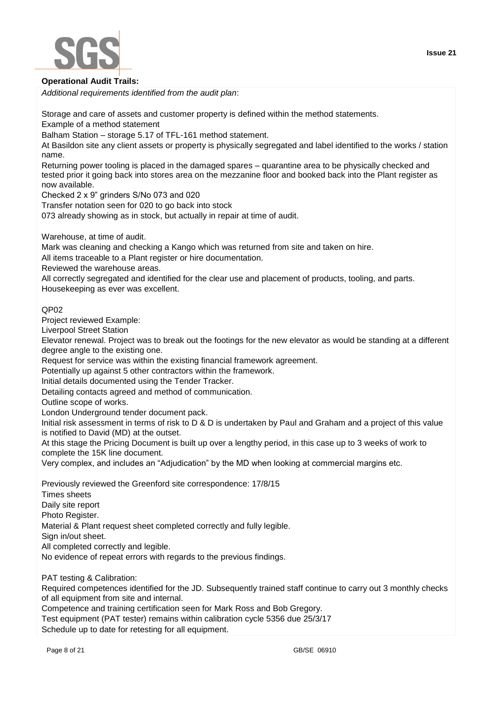

### **Operational Audit Trails:**

*Additional requirements identified from the audit plan*:

Storage and care of assets and customer property is defined within the method statements.

Example of a method statement

Balham Station – storage 5.17 of TFL-161 method statement.

At Basildon site any client assets or property is physically segregated and label identified to the works / station name.

Returning power tooling is placed in the damaged spares – quarantine area to be physically checked and tested prior it going back into stores area on the mezzanine floor and booked back into the Plant register as now available.

Checked 2 x 9" grinders S/No 073 and 020

Transfer notation seen for 020 to go back into stock

073 already showing as in stock, but actually in repair at time of audit.

Warehouse, at time of audit.

Mark was cleaning and checking a Kango which was returned from site and taken on hire.

All items traceable to a Plant register or hire documentation.

Reviewed the warehouse areas.

All correctly segregated and identified for the clear use and placement of products, tooling, and parts. Housekeeping as ever was excellent.

QP02

Project reviewed Example:

Liverpool Street Station

Elevator renewal. Project was to break out the footings for the new elevator as would be standing at a different degree angle to the existing one.

Request for service was within the existing financial framework agreement.

Potentially up against 5 other contractors within the framework.

Initial details documented using the Tender Tracker.

Detailing contacts agreed and method of communication.

Outline scope of works.

London Underground tender document pack.

Initial risk assessment in terms of risk to D & D is undertaken by Paul and Graham and a project of this value is notified to David (MD) at the outset.

At this stage the Pricing Document is built up over a lengthy period, in this case up to 3 weeks of work to complete the 15K line document.

Very complex, and includes an "Adjudication" by the MD when looking at commercial margins etc.

Previously reviewed the Greenford site correspondence: 17/8/15

Times sheets

Daily site report

Photo Register.

Material & Plant request sheet completed correctly and fully legible.

Sign in/out sheet.

All completed correctly and legible.

No evidence of repeat errors with regards to the previous findings.

PAT testing & Calibration:

Required competences identified for the JD. Subsequently trained staff continue to carry out 3 monthly checks of all equipment from site and internal.

Competence and training certification seen for Mark Ross and Bob Gregory.

Test equipment (PAT tester) remains within calibration cycle 5356 due 25/3/17

Schedule up to date for retesting for all equipment.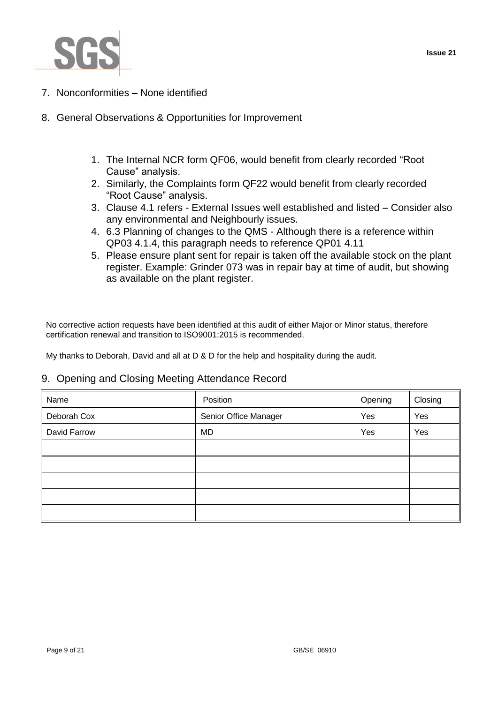

- 7. Nonconformities None identified
- 8. General Observations & Opportunities for Improvement
	- 1. The Internal NCR form QF06, would benefit from clearly recorded "Root Cause" analysis.
	- 2. Similarly, the Complaints form QF22 would benefit from clearly recorded "Root Cause" analysis.
	- 3. Clause 4.1 refers External Issues well established and listed Consider also any environmental and Neighbourly issues.
	- 4. 6.3 Planning of changes to the QMS Although there is a reference within QP03 4.1.4, this paragraph needs to reference QP01 4.11
	- 5. Please ensure plant sent for repair is taken off the available stock on the plant register. Example: Grinder 073 was in repair bay at time of audit, but showing as available on the plant register.

No corrective action requests have been identified at this audit of either Major or Minor status, therefore certification renewal and transition to ISO9001:2015 is recommended.

My thanks to Deborah, David and all at D & D for the help and hospitality during the audit.

## 9. Opening and Closing Meeting Attendance Record

| Name         | Position              | Opening | Closing |
|--------------|-----------------------|---------|---------|
| Deborah Cox  | Senior Office Manager | Yes     | Yes     |
| David Farrow | MD                    | Yes     | Yes     |
|              |                       |         |         |
|              |                       |         |         |
|              |                       |         |         |
|              |                       |         |         |
|              |                       |         |         |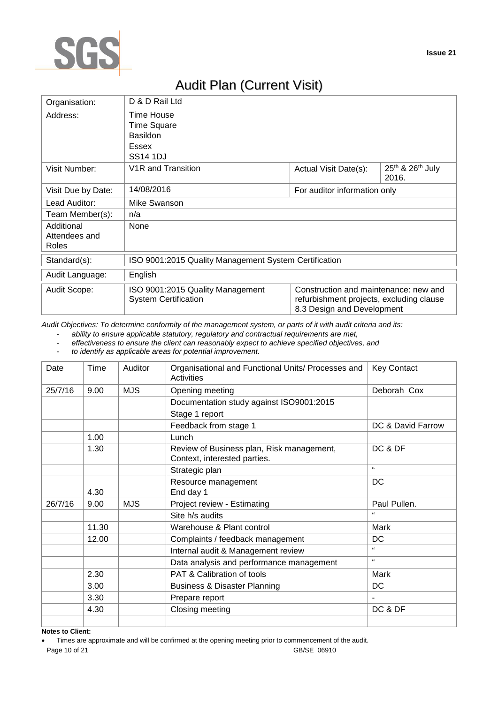

# Audit Plan (Current Visit)

| Organisation:      | D & D Rail Ltd                                                  |                                                                                                                 |                           |  |  |
|--------------------|-----------------------------------------------------------------|-----------------------------------------------------------------------------------------------------------------|---------------------------|--|--|
| Address:           | Time House                                                      |                                                                                                                 |                           |  |  |
|                    | <b>Time Square</b>                                              |                                                                                                                 |                           |  |  |
|                    | <b>Basildon</b>                                                 |                                                                                                                 |                           |  |  |
|                    | <b>Essex</b>                                                    |                                                                                                                 |                           |  |  |
|                    | SS <sub>14</sub> 1DJ                                            |                                                                                                                 |                           |  |  |
| Visit Number:      | V <sub>1</sub> R and Transition                                 | Actual Visit Date(s):                                                                                           | 25th & 26th July<br>2016. |  |  |
| Visit Due by Date: | 14/08/2016<br>For auditor information only                      |                                                                                                                 |                           |  |  |
| Lead Auditor:      | Mike Swanson                                                    |                                                                                                                 |                           |  |  |
| Team Member(s):    | n/a                                                             |                                                                                                                 |                           |  |  |
| Additional         | None                                                            |                                                                                                                 |                           |  |  |
| Attendees and      |                                                                 |                                                                                                                 |                           |  |  |
| Roles              |                                                                 |                                                                                                                 |                           |  |  |
| Standard(s):       | ISO 9001:2015 Quality Management System Certification           |                                                                                                                 |                           |  |  |
| Audit Language:    | English                                                         |                                                                                                                 |                           |  |  |
| Audit Scope:       | ISO 9001:2015 Quality Management<br><b>System Certification</b> | Construction and maintenance: new and<br>refurbishment projects, excluding clause<br>8.3 Design and Development |                           |  |  |

*Audit Objectives: To determine conformity of the management system, or parts of it with audit criteria and its:*

- *ability to ensure applicable statutory, regulatory and contractual requirements are met,*

- *effectiveness to ensure the client can reasonably expect to achieve specified objectives, and*
- *to identify as applicable areas for potential improvement.*

| Date    | Time  | Auditor    | Organisational and Functional Units/ Processes and<br>Activities          | <b>Key Contact</b> |
|---------|-------|------------|---------------------------------------------------------------------------|--------------------|
| 25/7/16 | 9.00  | <b>MJS</b> | Opening meeting                                                           | Deborah Cox        |
|         |       |            | Documentation study against ISO9001:2015                                  |                    |
|         |       |            | Stage 1 report                                                            |                    |
|         |       |            | Feedback from stage 1                                                     | DC & David Farrow  |
|         | 1.00  |            | Lunch                                                                     |                    |
|         | 1.30  |            | Review of Business plan, Risk management,<br>Context, interested parties. | DC & DF            |
|         |       |            | Strategic plan                                                            | $\epsilon$         |
|         | 4.30  |            | Resource management<br>End day 1                                          | <b>DC</b>          |
| 26/7/16 | 9.00  | <b>MJS</b> | Project review - Estimating                                               | Paul Pullen.       |
|         |       |            | Site h/s audits                                                           |                    |
|         | 11.30 |            | Warehouse & Plant control                                                 | Mark               |
|         | 12.00 |            | Complaints / feedback management                                          | <b>DC</b>          |
|         |       |            | Internal audit & Management review                                        | $\epsilon$         |
|         |       |            | Data analysis and performance management                                  | $\mathfrak{c}$     |
|         | 2.30  |            | PAT & Calibration of tools                                                | Mark               |
|         | 3.00  |            | <b>Business &amp; Disaster Planning</b>                                   | DC                 |
|         | 3.30  |            | Prepare report                                                            |                    |
|         | 4.30  |            | Closing meeting                                                           | DC & DF            |
|         |       |            |                                                                           |                    |

**Notes to Client:**

Page 10 of 21 GB/SE 06910 Times are approximate and will be confirmed at the opening meeting prior to commencement of the audit.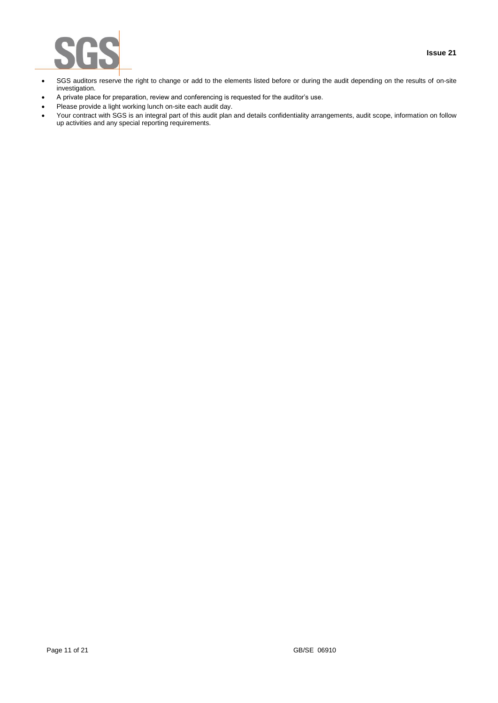

- SGS auditors reserve the right to change or add to the elements listed before or during the audit depending on the results of on-site investigation.
- A private place for preparation, review and conferencing is requested for the auditor's use.
- Please provide a light working lunch on-site each audit day.
- Your contract with SGS is an integral part of this audit plan and details confidentiality arrangements, audit scope, information on follow up activities and any special reporting requirements.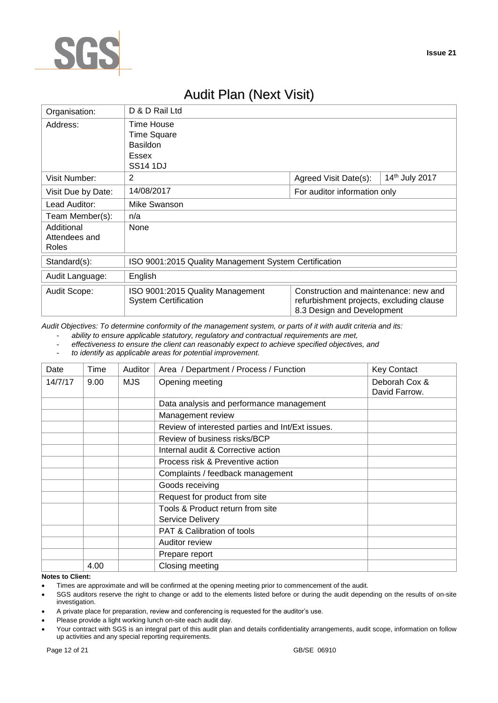

# Audit Plan (Next Visit)

| Organisation:                        | D & D Rail Ltd                                                  |                                                                                                                 |                |  |
|--------------------------------------|-----------------------------------------------------------------|-----------------------------------------------------------------------------------------------------------------|----------------|--|
| Address:                             | Time House<br><b>Time Square</b>                                |                                                                                                                 |                |  |
|                                      | Basildon                                                        |                                                                                                                 |                |  |
|                                      | Essex                                                           |                                                                                                                 |                |  |
|                                      | <b>SS14 1DJ</b>                                                 |                                                                                                                 |                |  |
| Visit Number:                        | 2                                                               | Agreed Visit Date(s):                                                                                           | 14th July 2017 |  |
| Visit Due by Date:                   | 14/08/2017                                                      | For auditor information only                                                                                    |                |  |
| Lead Auditor:                        | Mike Swanson                                                    |                                                                                                                 |                |  |
| Team Member(s):                      | n/a                                                             |                                                                                                                 |                |  |
| Additional<br>Attendees and<br>Roles | None                                                            |                                                                                                                 |                |  |
| Standard(s):                         | ISO 9001:2015 Quality Management System Certification           |                                                                                                                 |                |  |
| Audit Language:                      | English                                                         |                                                                                                                 |                |  |
| Audit Scope:                         | ISO 9001:2015 Quality Management<br><b>System Certification</b> | Construction and maintenance: new and<br>refurbishment projects, excluding clause<br>8.3 Design and Development |                |  |

*Audit Objectives: To determine conformity of the management system, or parts of it with audit criteria and its:*

- *ability to ensure applicable statutory, regulatory and contractual requirements are met,*

- *effectiveness to ensure the client can reasonably expect to achieve specified objectives, and*
- *to identify as applicable areas for potential improvement.*

| Date    | Time | Auditor    | Area / Department / Process / Function           | <b>Key Contact</b>             |
|---------|------|------------|--------------------------------------------------|--------------------------------|
| 14/7/17 | 9.00 | <b>MJS</b> | Opening meeting                                  | Deborah Cox &<br>David Farrow. |
|         |      |            | Data analysis and performance management         |                                |
|         |      |            | Management review                                |                                |
|         |      |            | Review of interested parties and Int/Ext issues. |                                |
|         |      |            | Review of business risks/BCP                     |                                |
|         |      |            | Internal audit & Corrective action               |                                |
|         |      |            | Process risk & Preventive action                 |                                |
|         |      |            | Complaints / feedback management                 |                                |
|         |      |            | Goods receiving                                  |                                |
|         |      |            | Request for product from site                    |                                |
|         |      |            | Tools & Product return from site                 |                                |
|         |      |            | <b>Service Delivery</b>                          |                                |
|         |      |            | PAT & Calibration of tools                       |                                |
|         |      |            | Auditor review                                   |                                |
|         |      |            | Prepare report                                   |                                |
| .       | 4.00 |            | Closing meeting                                  |                                |

#### **Notes to Client:**

- Times are approximate and will be confirmed at the opening meeting prior to commencement of the audit.
- SGS auditors reserve the right to change or add to the elements listed before or during the audit depending on the results of on-site investigation.
- A private place for preparation, review and conferencing is requested for the auditor's use.
- Please provide a light working lunch on-site each audit day.
- Your contract with SGS is an integral part of this audit plan and details confidentiality arrangements, audit scope, information on follow up activities and any special reporting requirements.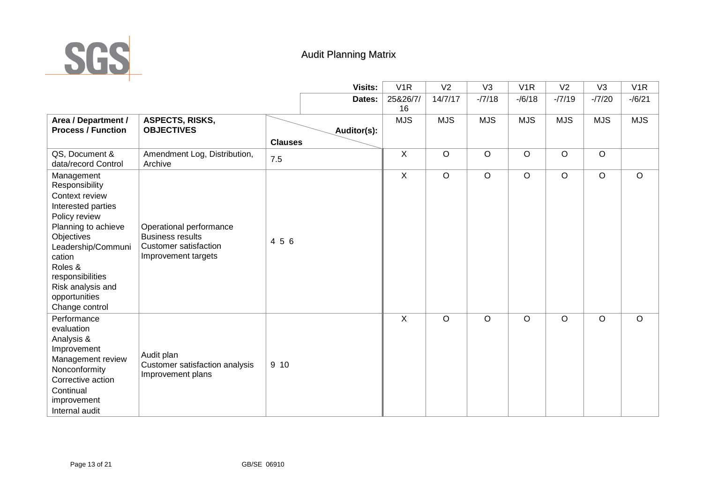

# Audit Planning Matrix

|                                                                                                                                                                                                                                                   |                                                                                                           | <b>Visits:</b> | V1R            | V <sub>2</sub> | V <sub>3</sub> | V1R        | V <sub>2</sub> | V <sub>3</sub> | V <sub>1</sub> R |
|---------------------------------------------------------------------------------------------------------------------------------------------------------------------------------------------------------------------------------------------------|-----------------------------------------------------------------------------------------------------------|----------------|----------------|----------------|----------------|------------|----------------|----------------|------------------|
|                                                                                                                                                                                                                                                   |                                                                                                           | Dates:         | 25&26/7/       | 14/7/17        | $-77/18$       | $-/6/18$   | $-77/19$       | $-77/20$       | $-16/21$         |
|                                                                                                                                                                                                                                                   |                                                                                                           |                | 16             |                |                |            |                |                |                  |
| Area / Department /                                                                                                                                                                                                                               | <b>ASPECTS, RISKS,</b>                                                                                    |                | <b>MJS</b>     | <b>MJS</b>     | <b>MJS</b>     | <b>MJS</b> | <b>MJS</b>     | <b>MJS</b>     | <b>MJS</b>       |
| <b>Process / Function</b>                                                                                                                                                                                                                         | <b>OBJECTIVES</b>                                                                                         | Auditor(s):    |                |                |                |            |                |                |                  |
|                                                                                                                                                                                                                                                   |                                                                                                           | <b>Clauses</b> |                |                |                |            |                |                |                  |
| QS, Document &<br>data/record Control                                                                                                                                                                                                             | Amendment Log, Distribution,<br>Archive                                                                   | 7.5            | X              | $\mathsf O$    | $\circ$        | $\circ$    | $\circ$        | $\circ$        |                  |
| Management<br>Responsibility<br>Context review<br>Interested parties<br>Policy review<br>Planning to achieve<br>Objectives<br>Leadership/Communi<br>cation<br>Roles &<br>responsibilities<br>Risk analysis and<br>opportunities<br>Change control | Operational performance<br><b>Business results</b><br><b>Customer satisfaction</b><br>Improvement targets | 4 5 6          | $\overline{X}$ | $\circ$        | $\circ$        | $\circ$    | $\circ$        | $\circ$        | $\circ$          |
| Performance<br>evaluation<br>Analysis &<br>Improvement<br>Management review<br>Nonconformity<br>Corrective action<br>Continual<br>improvement<br>Internal audit                                                                                   | Audit plan<br>Customer satisfaction analysis<br>Improvement plans                                         | 9 10           | X              | $\circ$        | $\circ$        | $\circ$    | $\circ$        | $\circ$        | $\circ$          |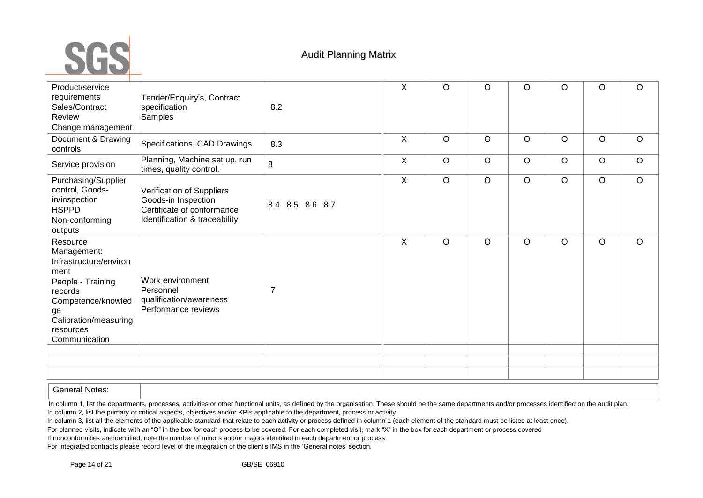

| Product/service<br>requirements<br>Sales/Contract<br>Review<br>Change management                                                                                             | Tender/Enquiry's, Contract<br>specification<br>Samples                                                          | 8.2             | X       | O       | O       | $\circ$ | O       | O       | $\circ$ |
|------------------------------------------------------------------------------------------------------------------------------------------------------------------------------|-----------------------------------------------------------------------------------------------------------------|-----------------|---------|---------|---------|---------|---------|---------|---------|
| Document & Drawing<br>controls                                                                                                                                               | Specifications, CAD Drawings                                                                                    | 8.3             | $\sf X$ | $\circ$ | $\circ$ | $\circ$ | $\circ$ | $\circ$ | $\circ$ |
| Service provision                                                                                                                                                            | Planning, Machine set up, run<br>times, quality control.                                                        | 8               | X       | $\circ$ | $\circ$ | $\circ$ | $\circ$ | $\circ$ | $\circ$ |
| Purchasing/Supplier<br>control, Goods-<br>in/inspection<br><b>HSPPD</b><br>Non-conforming<br>outputs                                                                         | Verification of Suppliers<br>Goods-in Inspection<br>Certificate of conformance<br>Identification & traceability | 8.4 8.5 8.6 8.7 | X       | $\circ$ | $\circ$ | $\circ$ | $\circ$ | $\circ$ | $\circ$ |
| Resource<br>Management:<br>Infrastructure/environ<br>ment<br>People - Training<br>records<br>Competence/knowled<br>ge<br>Calibration/measuring<br>resources<br>Communication | Work environment<br>Personnel<br>qualification/awareness<br>Performance reviews                                 | $\overline{7}$  | $\sf X$ | $\circ$ | $\circ$ | $\circ$ | $\circ$ | $\circ$ | $\circ$ |
|                                                                                                                                                                              |                                                                                                                 |                 |         |         |         |         |         |         |         |
|                                                                                                                                                                              |                                                                                                                 |                 |         |         |         |         |         |         |         |
|                                                                                                                                                                              |                                                                                                                 |                 |         |         |         |         |         |         |         |

General Notes:

In column 1, list the departments, processes, activities or other functional units, as defined by the organisation. These should be the same departments and/or processes identified on the audit plan. In column 2, list the primary or critical aspects, objectives and/or KPIs applicable to the department, process or activity.

In column 3, list all the elements of the applicable standard that relate to each activity or process defined in column 1 (each element of the standard must be listed at least once).

For planned visits, indicate with an "O" in the box for each process to be covered. For each completed visit, mark "X" in the box for each department or process covered

If nonconformities are identified, note the number of minors and/or majors identified in each department or process.

For integrated contracts please record level of the integration of the client's IMS in the 'General notes' section.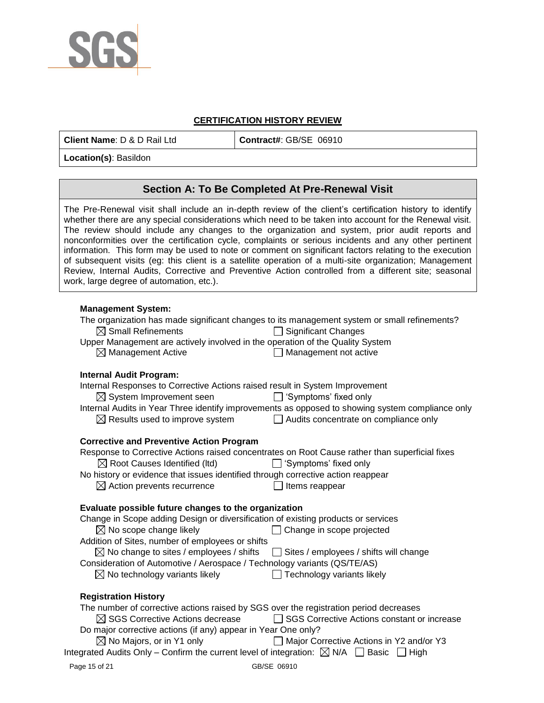

### **CERTIFICATION HISTORY REVIEW**

**Client Name**: D & D Rail Ltd **Contract#**: GB/SE 06910

**Location(s)**: Basildon

## **Section A: To Be Completed At Pre-Renewal Visit**

The Pre-Renewal visit shall include an in-depth review of the client's certification history to identify whether there are any special considerations which need to be taken into account for the Renewal visit. The review should include any changes to the organization and system, prior audit reports and nonconformities over the certification cycle, complaints or serious incidents and any other pertinent information. This form may be used to note or comment on significant factors relating to the execution of subsequent visits (eg: this client is a satellite operation of a multi-site organization; Management Review, Internal Audits, Corrective and Preventive Action controlled from a different site; seasonal work, large degree of automation, etc.).

### **Management System:**

The organization has made significant changes to its management system or small refinements?  $\boxtimes$  Small Refinements  $\Box$  Significant Changes Upper Management are actively involved in the operation of the Quality System  $\boxtimes$  Management Active  $\Box$  Management not active  $\Box$  Management not active

### **Internal Audit Program:**

| Internal Responses to Corrective Actions raised result in System Improvement                                |                                                                                                  |
|-------------------------------------------------------------------------------------------------------------|--------------------------------------------------------------------------------------------------|
| $\boxtimes$ System Improvement seen                                                                         | $\Box$ 'Symptoms' fixed only                                                                     |
|                                                                                                             | Internal Audits in Year Three identify improvements as opposed to showing system compliance only |
| $\boxtimes$ Results used to improve system                                                                  | Audits concentrate on compliance only                                                            |
|                                                                                                             |                                                                                                  |
| <b>Corrective and Preventive Action Program</b>                                                             |                                                                                                  |
|                                                                                                             | Response to Corrective Actions raised concentrates on Root Cause rather than superficial fixes   |
| $\boxtimes$ Root Causes Identified (Itd)                                                                    | $\Box$ 'Symptoms' fixed only                                                                     |
| No history or evidence that issues identified through corrective action reappear                            |                                                                                                  |
| $\boxtimes$ Action prevents recurrence                                                                      | Items reappear                                                                                   |
|                                                                                                             |                                                                                                  |
| Evaluate possible future changes to the organization                                                        |                                                                                                  |
| Change in Scope adding Design or diversification of existing products or services                           |                                                                                                  |
| $\boxtimes$ No scope change likely                                                                          | Change in scope projected                                                                        |
| Addition of Sites, number of employees or shifts                                                            |                                                                                                  |
| $\boxtimes$ No change to sites / employees / shifts $\Box$ Sites / employees / shifts will change           |                                                                                                  |
| Consideration of Automotive / Aerospace / Technology variants (QS/TE/AS)                                    |                                                                                                  |
| $\boxtimes$ No technology variants likely                                                                   | $\Box$ Technology variants likely                                                                |
|                                                                                                             |                                                                                                  |
| <b>Registration History</b>                                                                                 |                                                                                                  |
| The number of corrective actions raised by SGS over the registration period decreases                       |                                                                                                  |
|                                                                                                             |                                                                                                  |
| $\boxtimes$ SGS Corrective Actions decrease                                                                 | SGS Corrective Actions constant or increase<br>$\perp$                                           |
| Do major corrective actions (if any) appear in Year One only?                                               |                                                                                                  |
| $\boxtimes$ No Majors, or in Y1 only                                                                        | Major Corrective Actions in Y2 and/or Y3                                                         |
| Integrated Audits Only – Confirm the current level of integration: $\boxtimes$ N/A $\Box$ Basic $\Box$ High |                                                                                                  |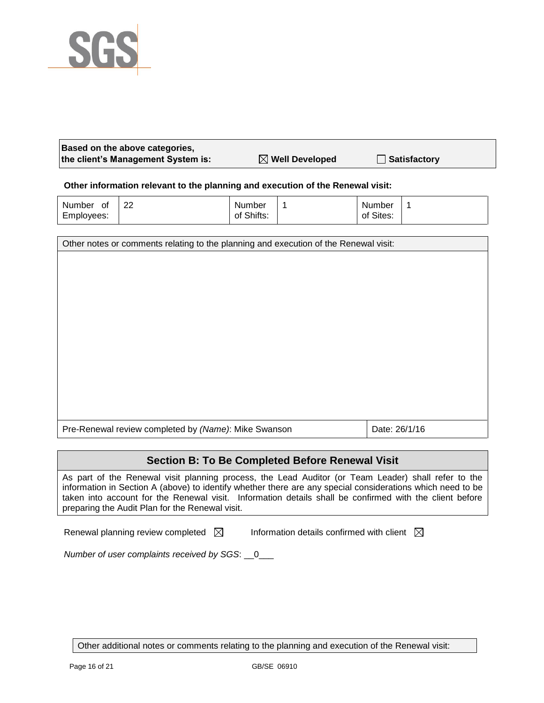

| Based on the above categories,     |                            |                       |
|------------------------------------|----------------------------|-----------------------|
| the client's Management System is: | $\boxtimes$ Well Developed | <b>△ Satisfactory</b> |

### **Other information relevant to the planning and execution of the Renewal visit:**

| Number<br>0t<br>Employees: | າາ<br>ے | Number<br>of Shifts: | Number<br>of Sites: |  |
|----------------------------|---------|----------------------|---------------------|--|
|                            |         |                      |                     |  |

| Other notes or comments relating to the planning and execution of the Renewal visit: |               |  |
|--------------------------------------------------------------------------------------|---------------|--|
|                                                                                      |               |  |
|                                                                                      |               |  |
|                                                                                      |               |  |
|                                                                                      |               |  |
|                                                                                      |               |  |
|                                                                                      |               |  |
|                                                                                      |               |  |
|                                                                                      |               |  |
|                                                                                      |               |  |
|                                                                                      |               |  |
|                                                                                      |               |  |
| Pre-Renewal review completed by (Name): Mike Swanson                                 | Date: 26/1/16 |  |

## **Section B: To Be Completed Before Renewal Visit**

As part of the Renewal visit planning process, the Lead Auditor (or Team Leader) shall refer to the information in Section A (above) to identify whether there are any special considerations which need to be taken into account for the Renewal visit. Information details shall be confirmed with the client before preparing the Audit Plan for the Renewal visit.

Renewal planning review completed  $\boxtimes$  Information details confirmed with client  $\boxtimes$ 

*Number of user complaints received by SGS*: \_\_0\_\_\_

Other additional notes or comments relating to the planning and execution of the Renewal visit: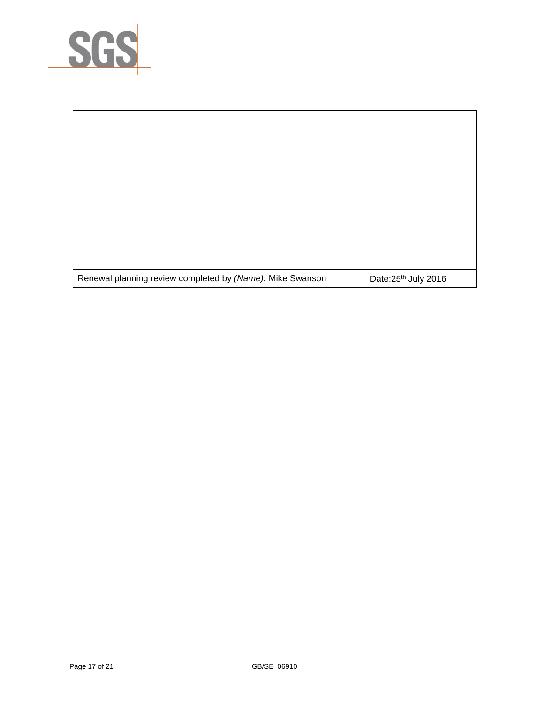

r

| Renewal planning review completed by (Name): Mike Swanson | Date: 25th July 2016 |
|-----------------------------------------------------------|----------------------|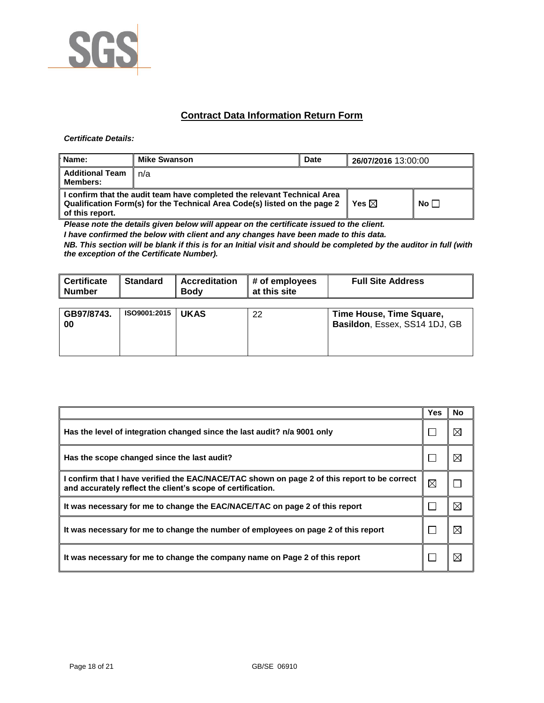

## **Contract Data Information Return Form**

#### *Certificate Details:*

| <b>Name:</b>                              | <b>Mike Swanson</b>                                                                                                                                   | <b>Date</b> | 26/07/2016 13:00:00 |             |
|-------------------------------------------|-------------------------------------------------------------------------------------------------------------------------------------------------------|-------------|---------------------|-------------|
| <b>Additional Team</b><br><b>Members:</b> | n/a                                                                                                                                                   |             |                     |             |
| of this report.                           | I confirm that the audit team have completed the relevant Technical Area<br>Qualification Form(s) for the Technical Area Code(s) listed on the page 2 |             | Yes $\boxtimes$     | No $\Gamma$ |

*Please note the details given below will appear on the certificate issued to the client.*

*I have confirmed the below with client and any changes have been made to this data.* 

*NB. This section will be blank if this is for an Initial visit and should be completed by the auditor in full (with the exception of the Certificate Number).* 

| <b>Oertificate</b><br><b>Number</b> | <b>Standard</b> | <b>Accreditation</b><br><b>Body</b> | # of employees<br>at this site | <b>Full Site Address</b>                                  |
|-------------------------------------|-----------------|-------------------------------------|--------------------------------|-----------------------------------------------------------|
| GB97/8743.<br>00                    | ISO9001:2015    | <b>UKAS</b>                         | 22                             | Time House, Time Square,<br>Basildon, Essex, SS14 1DJ, GB |

|                                                                                                                                                             | Yes         | No          |
|-------------------------------------------------------------------------------------------------------------------------------------------------------------|-------------|-------------|
| Has the level of integration changed since the last audit? n/a 9001 only                                                                                    |             | ⊠           |
| Has the scope changed since the last audit?                                                                                                                 |             | $\boxtimes$ |
| I confirm that I have verified the EAC/NACE/TAC shown on page 2 of this report to be correct<br>and accurately reflect the client's scope of certification. | $\boxtimes$ |             |
| It was necessary for me to change the EAC/NACE/TAC on page 2 of this report                                                                                 |             | $\boxtimes$ |
| It was necessary for me to change the number of employees on page 2 of this report                                                                          |             | ⊠           |
| It was necessary for me to change the company name on Page 2 of this report                                                                                 |             | ⊠           |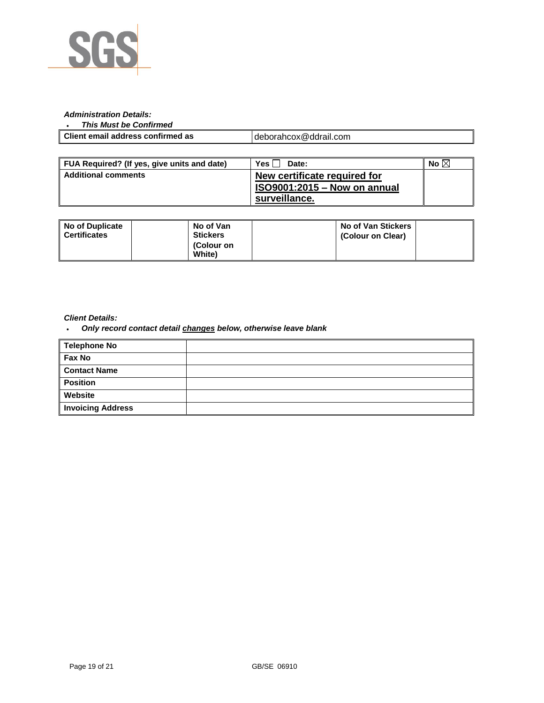

### *Administration Details:*

#### *This Must be Confirmed*

| Client email address confirmed as | deborahcox@ddrail.com |
|-----------------------------------|-----------------------|

| FUA Required? (If yes, give units and date) | <b>Yes</b><br>Date:                 | No $\boxtimes$ |
|---------------------------------------------|-------------------------------------|----------------|
| ∥ Additional comments                       | New certificate required for        |                |
|                                             | <b>ISO9001:2015 - Now on annual</b> |                |
|                                             | surveillance.                       |                |

| No of Duplicate<br>Certificates | No of Van<br><b>Stickers</b><br>(Colour on<br><b>White</b> ) | No of Van Stickers<br>(Colour on Clear) |
|---------------------------------|--------------------------------------------------------------|-----------------------------------------|
|                                 |                                                              |                                         |

### *Client Details:*

*Only record contact detail changes below, otherwise leave blank*

| <b>Telephone No</b>      |  |
|--------------------------|--|
| Fax No                   |  |
| <b>Contact Name</b>      |  |
| <b>Position</b>          |  |
| Website                  |  |
| <b>Invoicing Address</b> |  |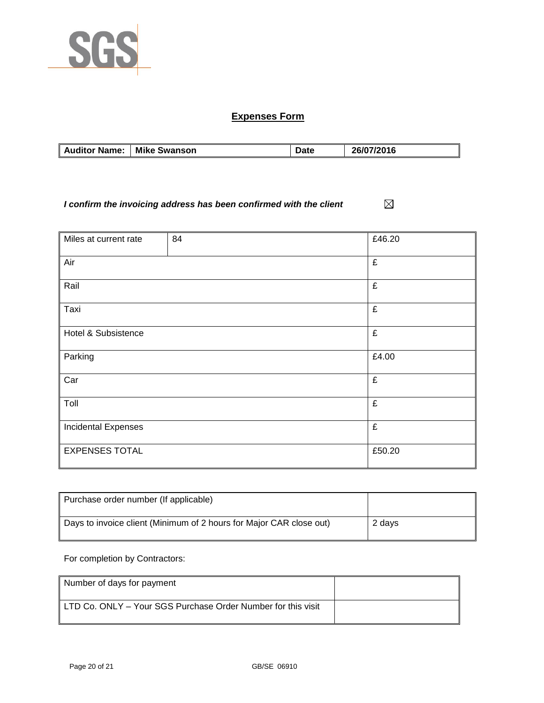

# **Expenses Form**

| <b>Mike Swanson</b><br><b>Auditor Name:</b> | <b>Date</b> | 26/07/2016 |
|---------------------------------------------|-------------|------------|

*I confirm the invoicing address has been confirmed with the client*  $\boxtimes$ 

| Miles at current rate      | 84 | £46.20 |
|----------------------------|----|--------|
|                            |    |        |
|                            |    |        |
| Air                        |    | £      |
|                            |    |        |
| Rail                       |    | £      |
|                            |    |        |
|                            |    |        |
| Taxi                       |    | £      |
|                            |    |        |
|                            |    |        |
| Hotel & Subsistence        |    | £      |
|                            |    |        |
| Parking                    |    | £4.00  |
|                            |    |        |
|                            |    |        |
| Car                        |    | £      |
|                            |    |        |
|                            |    |        |
| Toll                       |    | £      |
|                            |    |        |
| <b>Incidental Expenses</b> |    | £      |
|                            |    |        |
|                            |    |        |
| <b>EXPENSES TOTAL</b>      |    | £50.20 |
|                            |    |        |
|                            |    |        |

| Purchase order number (If applicable)                               |        |
|---------------------------------------------------------------------|--------|
| Days to invoice client (Minimum of 2 hours for Major CAR close out) | 2 davs |

For completion by Contractors:

| Number of days for payment                                   |  |
|--------------------------------------------------------------|--|
| LTD Co. ONLY - Your SGS Purchase Order Number for this visit |  |